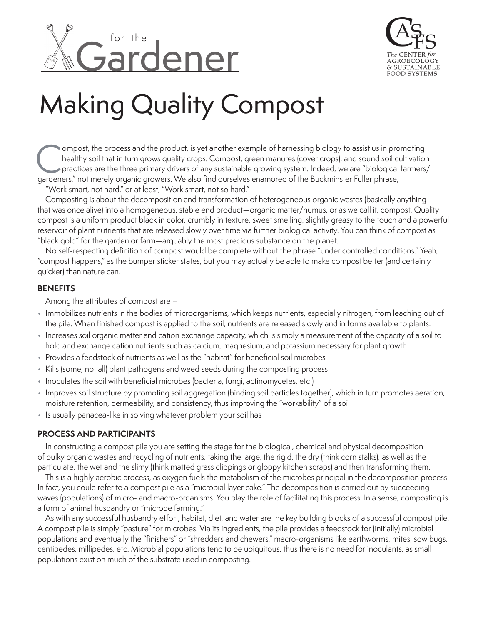



# Making Quality Compost

ompost, the process and the product, is yet another example of harnessing biology to assist us in promoting healthy soil that in turn grows quality crops. Compost, green manures (cover crops), and sound soil cultivation practices are the three primary drivers of any sustainable growing system. Indeed, we are "biological farmers/ ompost, the process and the product, is yet another example of harnessing biology to assist us in pro<br>healthy soil that in turn grows quality crops. Compost, green manures (cover crops), and sound soil current<br>practices ar

"Work smart, not hard," or at least, "Work smart, not so hard."

Composting is about the decomposition and transformation of heterogeneous organic wastes (basically anything that was once alive) into a homogeneous, stable end product—organic matter/humus, or as we call it, compost. Quality compost is a uniform product black in color, crumbly in texture, sweet smelling, slightly greasy to the touch and a powerful reservoir of plant nutrients that are released slowly over time via further biological activity. You can think of compost as "black gold" for the garden or farm—arguably the most precious substance on the planet.

No self-respecting definition of compost would be complete without the phrase "under controlled conditions." Yeah, "compost happens," as the bumper sticker states, but you may actually be able to make compost better (and certainly quicker) than nature can.

## **BENEFITS**

Among the attributes of compost are –

- Immobilizes nutrients in the bodies of microorganisms, which keeps nutrients, especially nitrogen, from leaching out of the pile. When finished compost is applied to the soil, nutrients are released slowly and in forms available to plants.
- Increases soil organic matter and cation exchange capacity, which is simply a measurement of the capacity of a soil to hold and exchange cation nutrients such as calcium, magnesium, and potassium necessary for plant growth
- Provides a feedstock of nutrients as well as the "habitat" for beneficial soil microbes
- Kills (some, not all) plant pathogens and weed seeds during the composting process
- Inoculates the soil with beneficial microbes (bacteria, fungi, actinomycetes, etc.)
- Improves soil structure by promoting soil aggregation (binding soil particles together), which in turn promotes aeration, moisture retention, permeability, and consistency, thus improving the "workability" of a soil
- Is usually panacea-like in solving whatever problem your soil has

### **PROCESS AND PARTICIPANTS**

In constructing a compost pile you are setting the stage for the biological, chemical and physical decomposition of bulky organic wastes and recycling of nutrients, taking the large, the rigid, the dry (think corn stalks), as well as the particulate, the wet and the slimy (think matted grass clippings or gloppy kitchen scraps) and then transforming them.

This is a highly aerobic process, as oxygen fuels the metabolism of the microbes principal in the decomposition process. In fact, you could refer to a compost pile as a "microbial layer cake." The decomposition is carried out by succeeding waves (populations) of micro- and macro-organisms. You play the role of facilitating this process. In a sense, composting is a form of animal husbandry or "microbe farming."

As with any successful husbandry effort, habitat, diet, and water are the key building blocks of a successful compost pile. A compost pile is simply "pasture" for microbes. Via its ingredients, the pile provides a feedstock for (initially) microbial populations and eventually the "finishers" or "shredders and chewers," macro-organisms like earthworms, mites, sow bugs, centipedes, millipedes, etc. Microbial populations tend to be ubiquitous, thus there is no need for inoculants, as small populations exist on much of the substrate used in composting.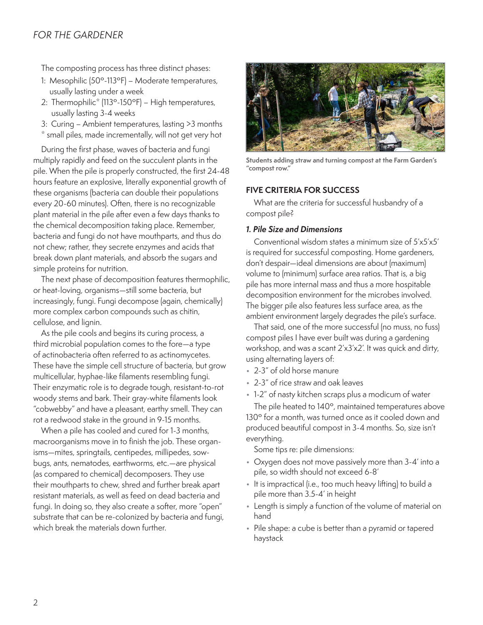# *FOR THE GARDENER*

The composting process has three distinct phases:

- 1: Mesophilic (50º-113ºF) Moderate temperatures, usually lasting under a week
- 2: Thermophilic<sup>\*</sup> (113°-150°F) High temperatures, usually lasting 3-4 weeks
- 3: Curing Ambient temperatures, lasting >3 months
- \* small piles, made incrementally, will not get very hot

During the first phase, waves of bacteria and fungi multiply rapidly and feed on the succulent plants in the pile. When the pile is properly constructed, the first 24-48 hours feature an explosive, literally exponential growth of these organisms (bacteria can double their populations every 20-60 minutes). Often, there is no recognizable plant material in the pile after even a few days thanks to the chemical decomposition taking place. Remember, bacteria and fungi do not have mouthparts, and thus do not chew; rather, they secrete enzymes and acids that break down plant materials, and absorb the sugars and simple proteins for nutrition.

The next phase of decomposition features thermophilic, or heat-loving, organisms—still some bacteria, but increasingly, fungi. Fungi decompose (again, chemically) more complex carbon compounds such as chitin, cellulose, and lignin.

As the pile cools and begins its curing process, a third microbial population comes to the fore—a type of actinobacteria often referred to as actinomycetes. These have the simple cell structure of bacteria, but grow multicellular, hyphae-like filaments resembling fungi. Their enzymatic role is to degrade tough, resistant-to-rot woody stems and bark. Their gray-white filaments look "cobwebby" and have a pleasant, earthy smell. They can rot a redwood stake in the ground in 9-15 months.

When a pile has cooled and cured for 1-3 months, macroorganisms move in to finish the job. These organisms—mites, springtails, centipedes, millipedes, sowbugs, ants, nematodes, earthworms, etc.—are physical (as compared to chemical) decomposers. They use their mouthparts to chew, shred and further break apart resistant materials, as well as feed on dead bacteria and fungi. In doing so, they also create a softer, more "open" substrate that can be re-colonized by bacteria and fungi, which break the materials down further.



**Students adding straw and turning compost at the Farm Garden's "compost row."**

#### **FIVE CRITERIA FOR SUCCESS**

What are the criteria for successful husbandry of a compost pile?

#### *1. Pile Size and Dimensions*

Conventional wisdom states a minimum size of 5'x5'x5' is required for successful composting. Home gardeners, don't despair—ideal dimensions are about (maximum) volume to (minimum) surface area ratios. That is, a big pile has more internal mass and thus a more hospitable decomposition environment for the microbes involved. The bigger pile also features less surface area, as the ambient environment largely degrades the pile's surface.

That said, one of the more successful (no muss, no fuss) compost piles I have ever built was during a gardening workshop, and was a scant 2'x3'x2'. It was quick and dirty, using alternating layers of:

- 2-3" of old horse manure
- 2-3" of rice straw and oak leaves
- 1-2" of nasty kitchen scraps plus a modicum of water

The pile heated to 140°, maintained temperatures above 130° for a month, was turned once as it cooled down and produced beautiful compost in 3-4 months. So, size isn't everything.

Some tips re: pile dimensions:

- Oxygen does not move passively more than 3-4' into a pile, so width should not exceed 6-8'
- It is impractical (i.e., too much heavy lifting) to build a pile more than 3.5-4' in height
- Length is simply a function of the volume of material on hand
- Pile shape: a cube is better than a pyramid or tapered haystack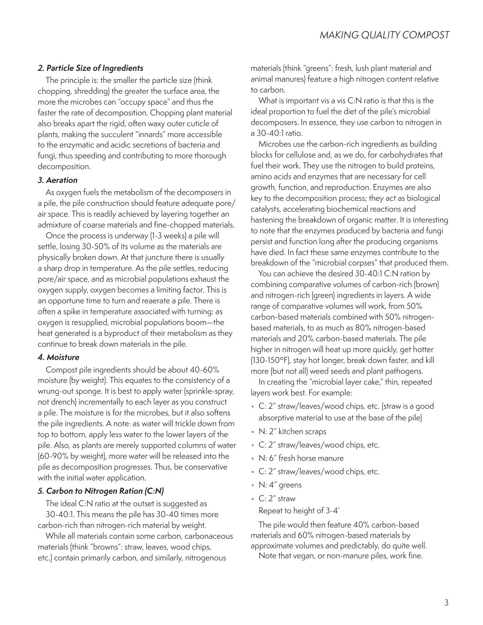### *2. Particle Size of Ingredients*

The principle is: the smaller the particle size (think chopping, shredding) the greater the surface area, the more the microbes can "occupy space" and thus the faster the rate of decomposition. Chopping plant material also breaks apart the rigid, often waxy outer cuticle of plants, making the succulent "innards" more accessible to the enzymatic and acidic secretions of bacteria and fungi, thus speeding and contributing to more thorough decomposition.

#### *3. Aeration*

As oxygen fuels the metabolism of the decomposers in a pile, the pile construction should feature adequate pore/ air space. This is readily achieved by layering together an admixture of coarse materials and fine-chopped materials.

Once the process is underway (1-3 weeks) a pile will settle, losing 30-50% of its volume as the materials are physically broken down. At that juncture there is usually a sharp drop in temperature. As the pile settles, reducing pore/air space, and as microbial populations exhaust the oxygen supply, oxygen becomes a limiting factor. This is an opportune time to turn and reaerate a pile. There is often a spike in temperature associated with turning: as oxygen is resupplied, microbial populations boom—the heat generated is a byproduct of their metabolism as they continue to break down materials in the pile.

### *4. Moisture*

Compost pile ingredients should be about 40-60% moisture (by weight). This equates to the consistency of a wrung-out sponge. It is best to apply water (sprinkle-spray, not drench) incrementally to each layer as you construct a pile. The moisture is for the microbes, but it also softens the pile ingredients. A note: as water will trickle down from top to bottom, apply less water to the lower layers of the pile. Also, as plants are merely supported columns of water (60-90% by weight), more water will be released into the pile as decomposition progresses. Thus, be conservative with the initial water application.

### *5. Carbon to Nitrogen Ration (C:N)*

The ideal C:N ratio at the outset is suggested as 30-40:1. This means the pile has 30-40 times more carbon-rich than nitrogen-rich material by weight.

While all materials contain some carbon, carbonaceous materials (think "browns": straw, leaves, wood chips, etc.) contain primarily carbon, and similarly, nitrogenous

materials (think "greens": fresh, lush plant material and animal manures) feature a high nitrogen content relative to carbon.

What is important vis a vis C:N ratio is that this is the ideal proportion to fuel the diet of the pile's microbial decomposers. In essence, they use carbon to nitrogen in a 30-40:1 ratio.

Microbes use the carbon-rich ingredients as building blocks for cellulose and, as we do, for carbohydrates that fuel their work. They use the nitrogen to build proteins, amino acids and enzymes that are necessary for cell growth, function, and reproduction. Enzymes are also key to the decomposition process; they act as biological catalysts, accelerating biochemical reactions and hastening the breakdown of organic matter. It is interesting to note that the enzymes produced by bacteria and fungi persist and function long after the producing organisms have died. In fact these same enzymes contribute to the breakdown of the "microbial corpses" that produced them.

You can achieve the desired 30-40:1 C:N ration by combining comparative volumes of carbon-rich (brown) and nitrogen-rich (green) ingredients in layers. A wide range of comparative volumes will work, from 50% carbon-based materials combined with 50% nitrogenbased materials, to as much as 80% nitrogen-based materials and 20% carbon-based materials. The pile higher in nitrogen will heat up more quickly, get hotter (130-150ºF), stay hot longer, break down faster, and kill more (but not all) weed seeds and plant pathogens.

In creating the "microbial layer cake," thin, repeated layers work best. For example:

- C: 2" straw/leaves/wood chips, etc. (straw is a good absorptive material to use at the base of the pile)
- N: 2" kitchen scraps
- C: 2" straw/leaves/wood chips, etc.
- N: 6" fresh horse manure
- C: 2" straw/leaves/wood chips, etc.
- N: 4" greens
- C: 2" straw

Repeat to height of 3-4'

The pile would then feature 40% carbon-based materials and 60% nitrogen-based materials by approximate volumes and predictably, do quite well. Note that vegan, or non-manure piles, work fine.